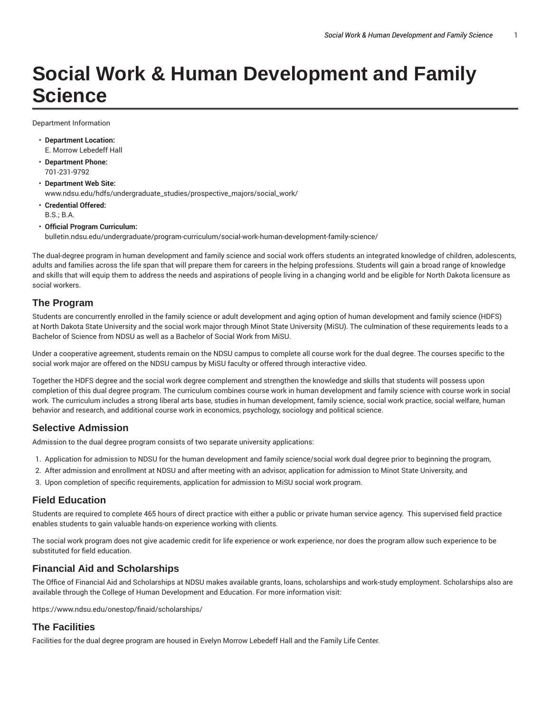# **Social Work & Human Development and Family Science**

Department Information

- **Department Location:** E. Morrow Lebedeff Hall
- **Department Phone:** 701-231-9792
- **Department Web Site:** www.ndsu.edu/hdfs/undergraduate\_studies/prospective\_majors/social\_work/
- **Credential Offered:** B.S.; B.A.
- **Official Program Curriculum:** bulletin.ndsu.edu/undergraduate/program-curriculum/social-work-human-development-family-science/

The dual-degree program in human development and family science and social work offers students an integrated knowledge of children, adolescents, adults and families across the life span that will prepare them for careers in the helping professions. Students will gain a broad range of knowledge and skills that will equip them to address the needs and aspirations of people living in a changing world and be eligible for North Dakota licensure as social workers.

#### **The Program**

Students are concurrently enrolled in the family science or adult development and aging option of human development and family science (HDFS) at North Dakota State University and the social work major through Minot State University (MiSU). The culmination of these requirements leads to a Bachelor of Science from NDSU as well as a Bachelor of Social Work from MiSU.

Under a cooperative agreement, students remain on the NDSU campus to complete all course work for the dual degree. The courses specific to the social work major are offered on the NDSU campus by MiSU faculty or offered through interactive video.

Together the HDFS degree and the social work degree complement and strengthen the knowledge and skills that students will possess upon completion of this dual degree program. The curriculum combines course work in human development and family science with course work in social work. The curriculum includes a strong liberal arts base, studies in human development, family science, social work practice, social welfare, human behavior and research, and additional course work in economics, psychology, sociology and political science.

#### **Selective Admission**

Admission to the dual degree program consists of two separate university applications:

- 1. Application for admission to NDSU for the human development and family science/social work dual degree prior to beginning the program,
- 2. After admission and enrollment at NDSU and after meeting with an advisor, application for admission to Minot State University, and
- 3. Upon completion of specific requirements, application for admission to MiSU social work program.

## **Field Education**

Students are required to complete 465 hours of direct practice with either a public or private human service agency. This supervised field practice enables students to gain valuable hands-on experience working with clients.

The social work program does not give academic credit for life experience or work experience, nor does the program allow such experience to be substituted for field education.

## **Financial Aid and Scholarships**

The Office of Financial Aid and Scholarships at NDSU makes available grants, loans, scholarships and work-study employment. Scholarships also are available through the College of Human Development and Education. For more information visit:

https://www.ndsu.edu/onestop/finaid/scholarships/

## **The Facilities**

Facilities for the dual degree program are housed in Evelyn Morrow Lebedeff Hall and the Family Life Center.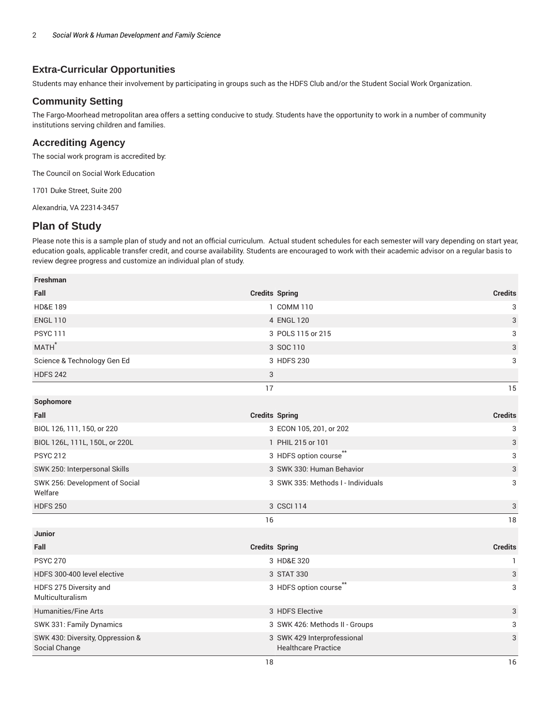## **Extra-Curricular Opportunities**

Students may enhance their involvement by participating in groups such as the HDFS Club and/or the Student Social Work Organization.

#### **Community Setting**

The Fargo-Moorhead metropolitan area offers a setting conducive to study. Students have the opportunity to work in a number of community institutions serving children and families.

#### **Accrediting Agency**

The social work program is accredited by:

The Council on Social Work Education

1701 Duke Street, Suite 200

Alexandria, VA 22314-3457

## **Plan of Study**

Please note this is a sample plan of study and not an official curriculum. Actual student schedules for each semester will vary depending on start year, education goals, applicable transfer credit, and course availability. Students are encouraged to work with their academic advisor on a regular basis to review degree progress and customize an individual plan of study.

| Freshman                                          |                       |                                                           |                |
|---------------------------------------------------|-----------------------|-----------------------------------------------------------|----------------|
| Fall                                              |                       | <b>Credits Spring</b>                                     | <b>Credits</b> |
| <b>HD&amp;E 189</b>                               |                       | 1 COMM 110                                                | 3              |
| <b>ENGL 110</b>                                   |                       | 4 ENGL 120                                                | 3              |
| <b>PSYC 111</b>                                   |                       | 3 POLS 115 or 215                                         | 3              |
| MATH <sup>*</sup>                                 |                       | 3 SOC 110                                                 | 3              |
| Science & Technology Gen Ed                       |                       | 3 HDFS 230                                                | 3              |
| <b>HDFS 242</b>                                   | 3                     |                                                           |                |
|                                                   | 17                    |                                                           | 15             |
| Sophomore                                         |                       |                                                           |                |
| Fall                                              |                       | <b>Credits Spring</b>                                     | <b>Credits</b> |
| BIOL 126, 111, 150, or 220                        |                       | 3 ECON 105, 201, or 202                                   | 3              |
| BIOL 126L, 111L, 150L, or 220L                    |                       | 1 PHIL 215 or 101                                         | 3              |
| <b>PSYC 212</b>                                   |                       | 3 HDFS option course**                                    | 3              |
| SWK 250: Interpersonal Skills                     |                       | 3 SWK 330: Human Behavior                                 | 3              |
| SWK 256: Development of Social<br>Welfare         |                       | 3 SWK 335: Methods I - Individuals                        | 3              |
| <b>HDFS 250</b>                                   |                       | 3 CSCI 114                                                | 3              |
|                                                   | 16                    |                                                           | 18             |
| Junior                                            |                       |                                                           |                |
| Fall                                              | <b>Credits Spring</b> |                                                           | <b>Credits</b> |
| <b>PSYC 270</b>                                   |                       | 3 HD&E 320                                                | $\mathbf{1}$   |
| HDFS 300-400 level elective                       |                       | 3 STAT 330                                                | 3              |
| HDFS 275 Diversity and<br>Multiculturalism        |                       | 3 HDFS option course                                      | 3              |
| Humanities/Fine Arts                              |                       | 3 HDFS Elective                                           | 3              |
| SWK 331: Family Dynamics                          |                       | 3 SWK 426: Methods II - Groups                            | 3              |
| SWK 430: Diversity, Oppression &<br>Social Change |                       | 3 SWK 429 Interprofessional<br><b>Healthcare Practice</b> | 3              |